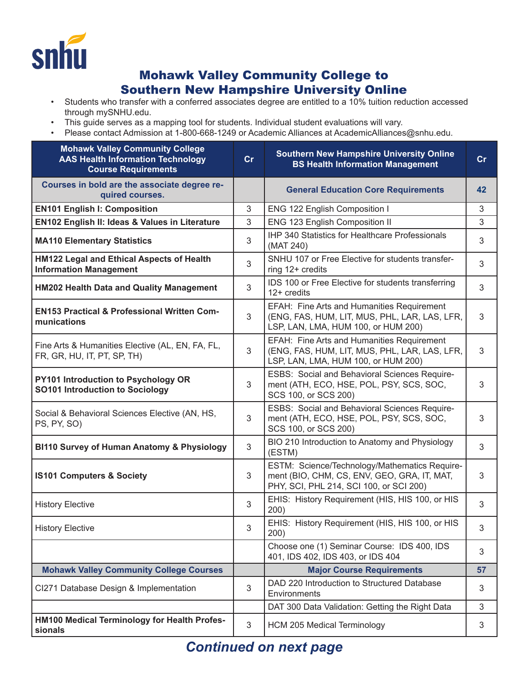

## Mohawk Valley Community College to Southern New Hampshire University Online

- Students who transfer with a conferred associates degree are entitled to a 10% tuition reduction accessed through mySNHU.edu.
- This guide serves as a mapping tool for students. Individual student evaluations will vary.
- Please contact Admission at 1-800-668-1249 or Academic Alliances at AcademicAlliances@snhu.edu.

| <b>Mohawk Valley Community College</b><br><b>AAS Health Information Technology</b><br><b>Course Requirements</b> | cr             | <b>Southern New Hampshire University Online</b><br><b>BS Health Information Management</b>                                              | cr |
|------------------------------------------------------------------------------------------------------------------|----------------|-----------------------------------------------------------------------------------------------------------------------------------------|----|
| Courses in bold are the associate degree re-<br>quired courses.                                                  |                | <b>General Education Core Requirements</b>                                                                                              | 42 |
| <b>EN101 English I: Composition</b>                                                                              | 3              | ENG 122 English Composition I                                                                                                           | 3  |
| EN102 English II: Ideas & Values in Literature                                                                   | 3              | ENG 123 English Composition II                                                                                                          | 3  |
| <b>MA110 Elementary Statistics</b>                                                                               | 3              | <b>IHP 340 Statistics for Healthcare Professionals</b><br>(MAT 240)                                                                     | 3  |
| HM122 Legal and Ethical Aspects of Health<br><b>Information Management</b>                                       | 3              | SNHU 107 or Free Elective for students transfer-<br>ring 12+ credits                                                                    | 3  |
| <b>HM202 Health Data and Quality Management</b>                                                                  | 3              | IDS 100 or Free Elective for students transferring<br>$12+$ credits                                                                     | 3  |
| <b>EN153 Practical &amp; Professional Written Com-</b><br>munications                                            | 3              | EFAH: Fine Arts and Humanities Requirement<br>(ENG, FAS, HUM, LIT, MUS, PHL, LAR, LAS, LFR,<br>LSP, LAN, LMA, HUM 100, or HUM 200)      | 3  |
| Fine Arts & Humanities Elective (AL, EN, FA, FL,<br>FR, GR, HU, IT, PT, SP, TH)                                  | 3              | EFAH: Fine Arts and Humanities Requirement<br>(ENG, FAS, HUM, LIT, MUS, PHL, LAR, LAS, LFR,<br>LSP, LAN, LMA, HUM 100, or HUM 200)      | 3  |
| PY101 Introduction to Psychology OR<br>SO101 Introduction to Sociology                                           | 3              | <b>ESBS: Social and Behavioral Sciences Require-</b><br>ment (ATH, ECO, HSE, POL, PSY, SCS, SOC,<br>SCS 100, or SCS 200)                | 3  |
| Social & Behavioral Sciences Elective (AN, HS,<br>PS, PY, SO)                                                    | 3              | ESBS: Social and Behavioral Sciences Require-<br>ment (ATH, ECO, HSE, POL, PSY, SCS, SOC,<br>SCS 100, or SCS 200)                       | 3  |
| <b>BI110 Survey of Human Anatomy &amp; Physiology</b>                                                            | 3              | BIO 210 Introduction to Anatomy and Physiology<br>(ESTM)                                                                                | 3  |
| <b>IS101 Computers &amp; Society</b>                                                                             | 3              | ESTM: Science/Technology/Mathematics Require-<br>ment (BIO, CHM, CS, ENV, GEO, GRA, IT, MAT,<br>PHY, SCI, PHL 214, SCI 100, or SCI 200) | 3  |
| <b>History Elective</b>                                                                                          | 3              | EHIS: History Requirement (HIS, HIS 100, or HIS<br>200)                                                                                 | 3  |
| <b>History Elective</b>                                                                                          | 3              | EHIS: History Requirement (HIS, HIS 100, or HIS<br>200)                                                                                 | 3  |
|                                                                                                                  |                | Choose one (1) Seminar Course: IDS 400, IDS<br>401, IDS 402, IDS 403, or IDS 404                                                        | 3  |
| <b>Mohawk Valley Community College Courses</b>                                                                   |                | <b>Major Course Requirements</b>                                                                                                        | 57 |
| CI271 Database Design & Implementation                                                                           | 3              | DAD 220 Introduction to Structured Database<br>Environments                                                                             | 3  |
|                                                                                                                  |                | DAT 300 Data Validation: Getting the Right Data                                                                                         | 3  |
| HM100 Medical Terminology for Health Profes-<br>sionals                                                          | $\mathfrak{S}$ | <b>HCM 205 Medical Terminology</b>                                                                                                      | 3  |

## *Continued on next page*